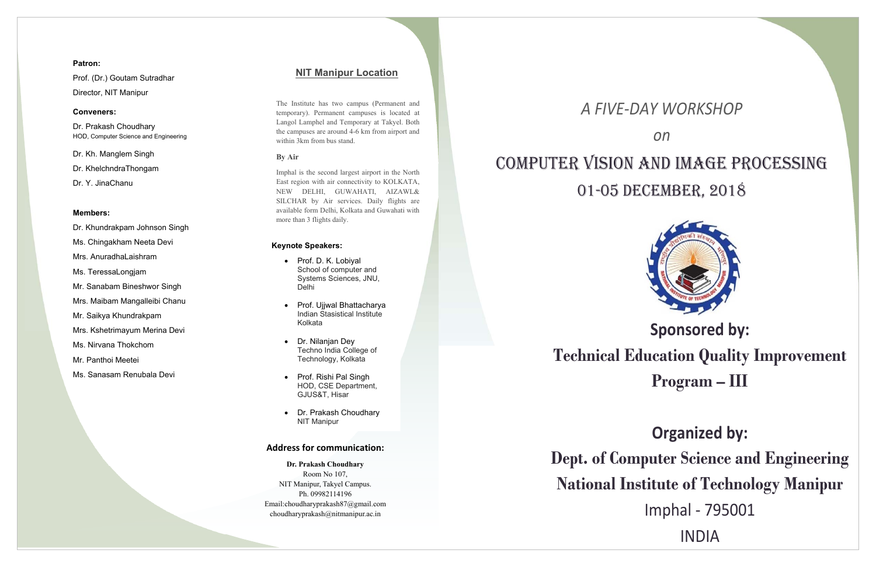*A FIVE‐DAY WORKSHOP* 

*on* 



# COMPUTER VISION AND IMAGE PROCESSING 01-05 DECEMBER, 2018

# **Sponsored by: Technical Education Quality Improvement Program – III**

## **Organized by:**

**Dept. of Computer Science and Engineering National Institute of Technology Manipur**  Imphal ‐ 795001 INDIA

## **Address for communication:**

**Dr. Prakash Choudhary**  Room No 107, NIT Manipur, Takyel Campus. Ph. 09982114196 Email:choudharyprakash87@gmail.com choudharyprakash@nitmanipur.ac.in

## **Patron:**

Prof. (Dr.) Goutam Sutradhar Director, NIT Manipur

## **Conveners:**

Dr. Prakash Choudhary HOD, Computer Science and Engineering

Dr. Kh. Manglem Singh

Dr. KhelchndraThongam

Dr. Y. JinaChanu

## **Members:**

- Dr. Khundrakpam Johnson Singh
- Ms. Chingakham Neeta Devi
- Mrs. AnuradhaLaishram
- Ms. TeressaLongjam
- Mr. Sanabam Bineshwor Singh
- Mrs. Maibam Mangalleibi Chanu
- Mr. Saikya Khundrakpam
- Mrs. Kshetrimayum Merina Devi
- Ms. Nirvana Thokchom
- Mr. Panthoi Meetei
- Ms. Sanasam Renubala Devi
- Prof. D. K. Lobiyal School of computer and Systems Sciences, JNU, Delhi
- Prof. Ujjwal Bhattacharya Indian Stasistical Institute Kolkata
- Dr. Nilanjan Dey Techno India College of Technology, Kolkata
- Prof. Rishi Pal Singh HOD, CSE Department, GJUS&T, Hisar
- Dr. Prakash Choudhary NIT Manipur

## **NIT Manipur Location**

The Institute has two campus (Permanent and temporary). Permanent campuses is located at Langol Lamphel and Temporary at Takyel. Both the campuses are around 4-6 km from airport and within 3km from bus stand.

### **By Air**

Imphal is the second largest airport in the North East region with air connectivity to KOLKATA, NEW DELHI, GUWAHATI, AIZAWL& SILCHAR by Air services. Daily flights are available form Delhi, Kolkata and Guwahati with more than 3 flights daily.

## **Keynote Speakers:**